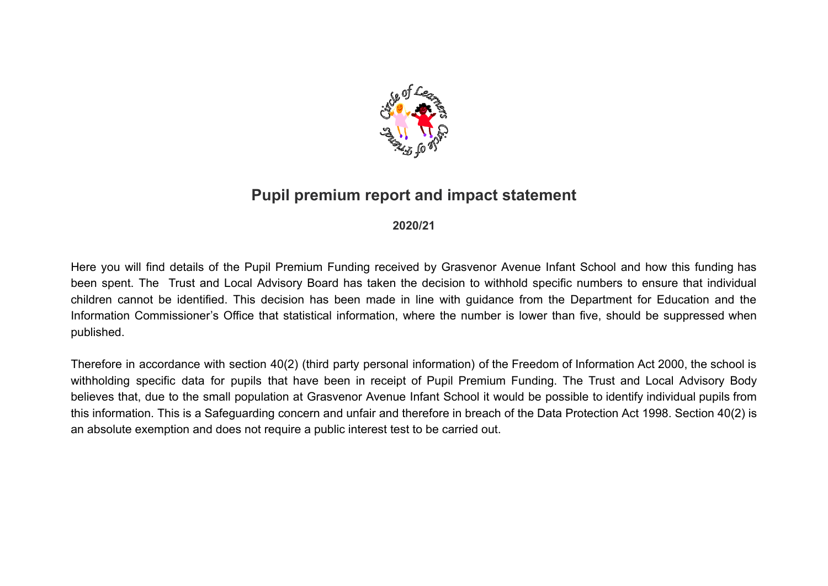

# **Pupil premium report and impact statement**

## **2020/21**

Here you will find details of the Pupil Premium Funding received by Grasvenor Avenue Infant School and how this funding has been spent. The Trust and Local Advisory Board has taken the decision to withhold specific numbers to ensure that individual children cannot be identified. This decision has been made in line with guidance from the Department for Education and the Information Commissioner's Office that statistical information, where the number is lower than five, should be suppressed when published.

Therefore in accordance with section 40(2) (third party personal information) of the Freedom of Information Act 2000, the school is withholding specific data for pupils that have been in receipt of Pupil Premium Funding. The Trust and Local Advisory Body believes that, due to the small population at Grasvenor Avenue Infant School it would be possible to identify individual pupils from this information. This is a Safeguarding concern and unfair and therefore in breach of the Data Protection Act 1998. Section 40(2) is an absolute exemption and does not require a public interest test to be carried out.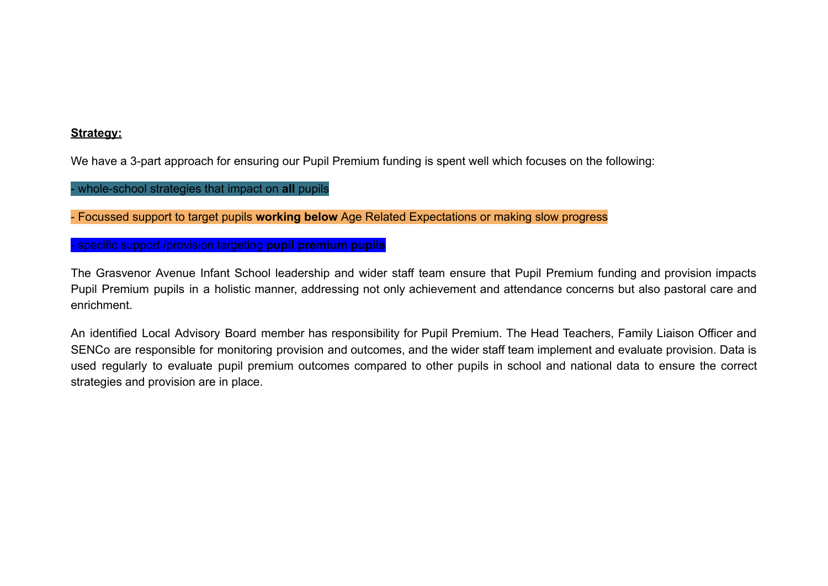## **Strategy:**

We have a 3-part approach for ensuring our Pupil Premium funding is spent well which focuses on the following:

- whole-school strategies that impact on **all** pupils

- Focussed support to target pupils **working below** Age Related Expectations or making slow progress

- specific support /provision targeting **pupil premium pupils**

The Grasvenor Avenue Infant School leadership and wider staff team ensure that Pupil Premium funding and provision impacts Pupil Premium pupils in a holistic manner, addressing not only achievement and attendance concerns but also pastoral care and enrichment.

An identified Local Advisory Board member has responsibility for Pupil Premium. The Head Teachers, Family Liaison Officer and SENCo are responsible for monitoring provision and outcomes, and the wider staff team implement and evaluate provision. Data is used regularly to evaluate pupil premium outcomes compared to other pupils in school and national data to ensure the correct strategies and provision are in place.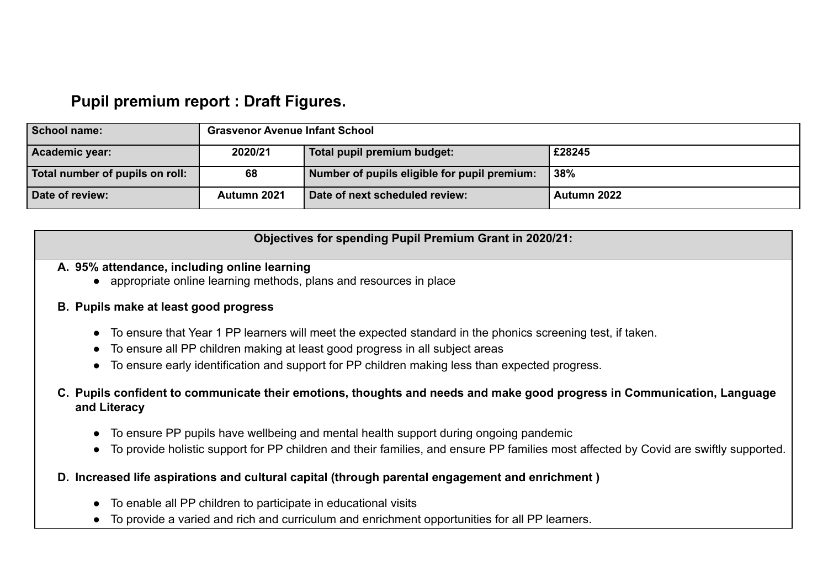# **Pupil premium report : Draft Figures.**

| School name:                    |             | <b>Grasvenor Avenue Infant School</b>        |             |  |
|---------------------------------|-------------|----------------------------------------------|-------------|--|
| Academic year:                  | 2020/21     | Total pupil premium budget:                  | £28245      |  |
| Total number of pupils on roll: | 68          | Number of pupils eligible for pupil premium: | 38%         |  |
| Date of review:                 | Autumn 2021 | Date of next scheduled review:               | Autumn 2022 |  |

## **Objectives for spending Pupil Premium Grant in 2020/21:**

## **A. 95% attendance, including online learning**

● appropriate online learning methods, plans and resources in place

## **B. Pupils make at least good progress**

- To ensure that Year 1 PP learners will meet the expected standard in the phonics screening test, if taken.
- To ensure all PP children making at least good progress in all subject areas
- To ensure early identification and support for PP children making less than expected progress.
- **C. Pupils confident to communicate their emotions, thoughts and needs and make good progress in Communication, Language and Literacy**
	- To ensure PP pupils have wellbeing and mental health support during ongoing pandemic
	- To provide holistic support for PP children and their families, and ensure PP families most affected by Covid are swiftly supported.

## **D. Increased life aspirations and cultural capital (through parental engagement and enrichment )**

- To enable all PP children to participate in educational visits
- To provide a varied and rich and curriculum and enrichment opportunities for all PP learners.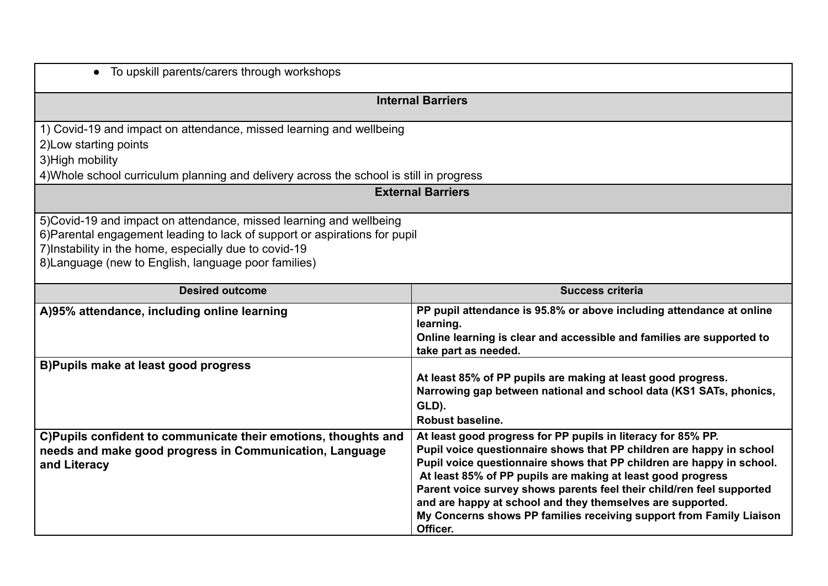| To upskill parents/carers through workshops<br>$\bullet$                                                                                                                                                                                                            |                                                                                                                                                                                                                                                                                                                                                                                                                                                                                                        |
|---------------------------------------------------------------------------------------------------------------------------------------------------------------------------------------------------------------------------------------------------------------------|--------------------------------------------------------------------------------------------------------------------------------------------------------------------------------------------------------------------------------------------------------------------------------------------------------------------------------------------------------------------------------------------------------------------------------------------------------------------------------------------------------|
|                                                                                                                                                                                                                                                                     | <b>Internal Barriers</b>                                                                                                                                                                                                                                                                                                                                                                                                                                                                               |
| 1) Covid-19 and impact on attendance, missed learning and wellbeing<br>2) Low starting points<br>3) High mobility<br>4) Whole school curriculum planning and delivery across the school is still in progress                                                        |                                                                                                                                                                                                                                                                                                                                                                                                                                                                                                        |
|                                                                                                                                                                                                                                                                     | <b>External Barriers</b>                                                                                                                                                                                                                                                                                                                                                                                                                                                                               |
| 5) Covid-19 and impact on attendance, missed learning and wellbeing<br>6) Parental engagement leading to lack of support or aspirations for pupil<br>7) Instability in the home, especially due to covid-19<br>8) Language (new to English, language poor families) |                                                                                                                                                                                                                                                                                                                                                                                                                                                                                                        |
| <b>Desired outcome</b>                                                                                                                                                                                                                                              | <b>Success criteria</b>                                                                                                                                                                                                                                                                                                                                                                                                                                                                                |
| A)95% attendance, including online learning                                                                                                                                                                                                                         | PP pupil attendance is 95.8% or above including attendance at online<br>learning.<br>Online learning is clear and accessible and families are supported to<br>take part as needed.                                                                                                                                                                                                                                                                                                                     |
| B) Pupils make at least good progress                                                                                                                                                                                                                               | At least 85% of PP pupils are making at least good progress.<br>Narrowing gap between national and school data (KS1 SATs, phonics,<br>GLD).<br><b>Robust baseline.</b>                                                                                                                                                                                                                                                                                                                                 |
| C)Pupils confident to communicate their emotions, thoughts and<br>needs and make good progress in Communication, Language<br>and Literacy                                                                                                                           | At least good progress for PP pupils in literacy for 85% PP.<br>Pupil voice questionnaire shows that PP children are happy in school<br>Pupil voice questionnaire shows that PP children are happy in school.<br>At least 85% of PP pupils are making at least good progress<br>Parent voice survey shows parents feel their child/ren feel supported<br>and are happy at school and they themselves are supported.<br>My Concerns shows PP families receiving support from Family Liaison<br>Officer. |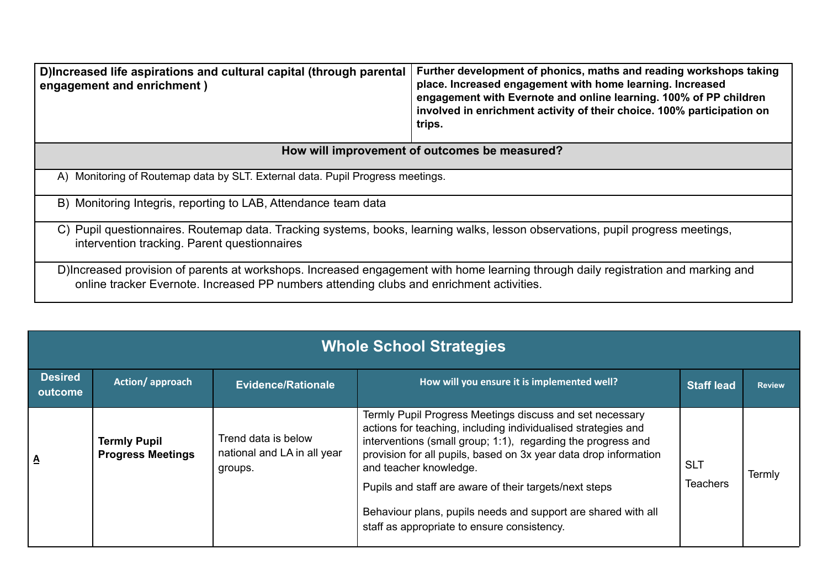| D)Increased life aspirations and cultural capital (through parental<br>engagement and enrichment)                                                                                                                             | Further development of phonics, maths and reading workshops taking<br>place. Increased engagement with home learning. Increased<br>engagement with Evernote and online learning. 100% of PP children<br>involved in enrichment activity of their choice. 100% participation on<br>trips. |
|-------------------------------------------------------------------------------------------------------------------------------------------------------------------------------------------------------------------------------|------------------------------------------------------------------------------------------------------------------------------------------------------------------------------------------------------------------------------------------------------------------------------------------|
|                                                                                                                                                                                                                               | How will improvement of outcomes be measured?                                                                                                                                                                                                                                            |
| A) Monitoring of Routemap data by SLT. External data. Pupil Progress meetings.                                                                                                                                                |                                                                                                                                                                                                                                                                                          |
| B) Monitoring Integris, reporting to LAB, Attendance team data                                                                                                                                                                |                                                                                                                                                                                                                                                                                          |
| C) Pupil questionnaires. Routemap data. Tracking systems, books, learning walks, lesson observations, pupil progress meetings,<br>intervention tracking. Parent questionnaires                                                |                                                                                                                                                                                                                                                                                          |
| D)Increased provision of parents at workshops. Increased engagement with home learning through daily registration and marking and<br>online tracker Evernote. Increased PP numbers attending clubs and enrichment activities. |                                                                                                                                                                                                                                                                                          |

| <b>Whole School Strategies</b> |                                                 |                                                               |                                                                                                                                                                                                                                                                                                                                                                                                                                                                   |                               |               |
|--------------------------------|-------------------------------------------------|---------------------------------------------------------------|-------------------------------------------------------------------------------------------------------------------------------------------------------------------------------------------------------------------------------------------------------------------------------------------------------------------------------------------------------------------------------------------------------------------------------------------------------------------|-------------------------------|---------------|
| <b>Desired</b><br>outcome      | Action/approach                                 | <b>Evidence/Rationale</b>                                     | How will you ensure it is implemented well?                                                                                                                                                                                                                                                                                                                                                                                                                       | <b>Staff lead</b>             | <b>Review</b> |
| A                              | <b>Termly Pupil</b><br><b>Progress Meetings</b> | Trend data is below<br>national and LA in all year<br>groups. | Termly Pupil Progress Meetings discuss and set necessary<br>actions for teaching, including individualised strategies and<br>interventions (small group; 1:1), regarding the progress and<br>provision for all pupils, based on 3x year data drop information<br>and teacher knowledge.<br>Pupils and staff are aware of their targets/next steps<br>Behaviour plans, pupils needs and support are shared with all<br>staff as appropriate to ensure consistency. | <b>SLT</b><br><b>Teachers</b> | Termly        |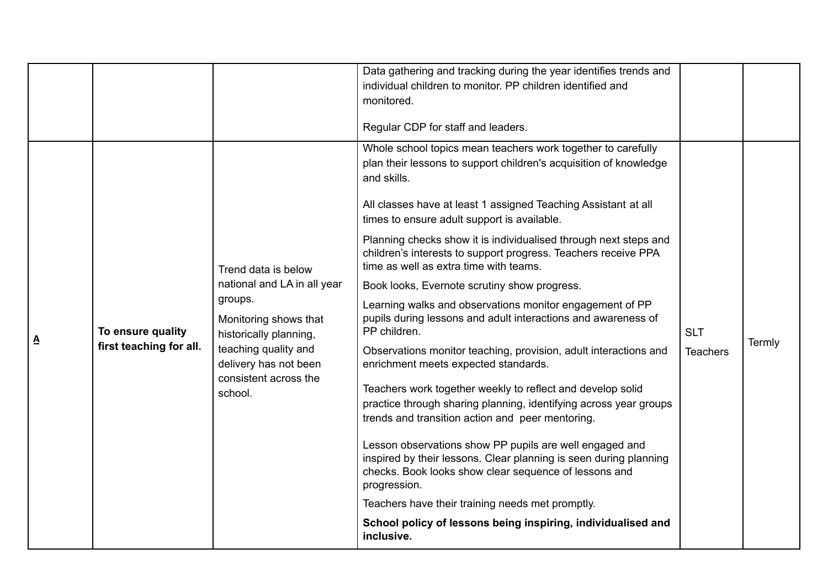|   |                                              |                                                                                                                                                                                                       | Data gathering and tracking during the year identifies trends and<br>individual children to monitor. PP children identified and<br>monitored.<br>Regular CDP for staff and leaders.                                                                                                                                                                                                                                                                                                                                                                                                                                                                                                                                                                                                                                                                                                                                                                                                                                                                                                                                                                                                                                                                                                          |                               |        |
|---|----------------------------------------------|-------------------------------------------------------------------------------------------------------------------------------------------------------------------------------------------------------|----------------------------------------------------------------------------------------------------------------------------------------------------------------------------------------------------------------------------------------------------------------------------------------------------------------------------------------------------------------------------------------------------------------------------------------------------------------------------------------------------------------------------------------------------------------------------------------------------------------------------------------------------------------------------------------------------------------------------------------------------------------------------------------------------------------------------------------------------------------------------------------------------------------------------------------------------------------------------------------------------------------------------------------------------------------------------------------------------------------------------------------------------------------------------------------------------------------------------------------------------------------------------------------------|-------------------------------|--------|
| Δ | To ensure quality<br>first teaching for all. | Trend data is below<br>national and LA in all year<br>groups.<br>Monitoring shows that<br>historically planning,<br>teaching quality and<br>delivery has not been<br>consistent across the<br>school. | Whole school topics mean teachers work together to carefully<br>plan their lessons to support children's acquisition of knowledge<br>and skills.<br>All classes have at least 1 assigned Teaching Assistant at all<br>times to ensure adult support is available.<br>Planning checks show it is individualised through next steps and<br>children's interests to support progress. Teachers receive PPA<br>time as well as extra time with teams.<br>Book looks, Evernote scrutiny show progress.<br>Learning walks and observations monitor engagement of PP<br>pupils during lessons and adult interactions and awareness of<br>PP children.<br>Observations monitor teaching, provision, adult interactions and<br>enrichment meets expected standards.<br>Teachers work together weekly to reflect and develop solid<br>practice through sharing planning, identifying across year groups<br>trends and transition action and peer mentoring.<br>Lesson observations show PP pupils are well engaged and<br>inspired by their lessons. Clear planning is seen during planning<br>checks. Book looks show clear sequence of lessons and<br>progression.<br>Teachers have their training needs met promptly.<br>School policy of lessons being inspiring, individualised and<br>inclusive. | <b>SLT</b><br><b>Teachers</b> | Termly |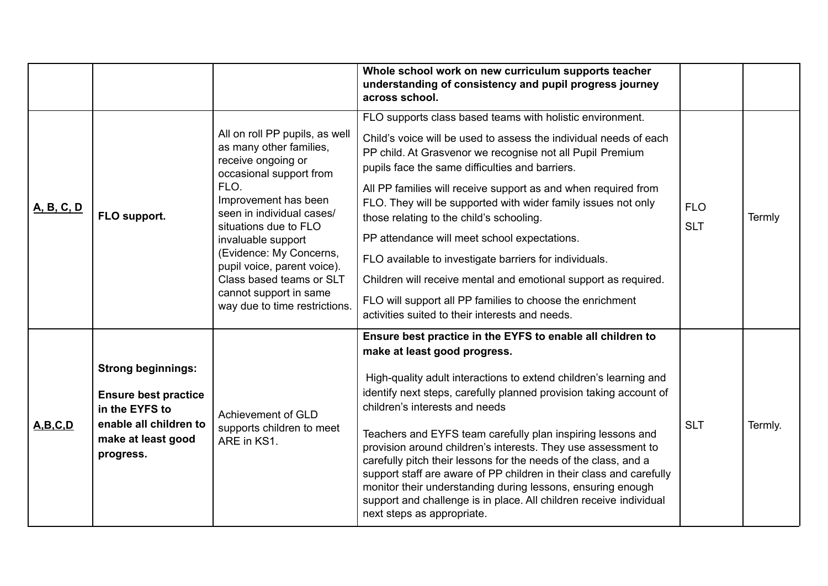|                   |                                                                                                                                         |                                                                                                                                                                                                                                                                                                                                                                         | Whole school work on new curriculum supports teacher<br>understanding of consistency and pupil progress journey<br>across school.                                                                                                                                                                                                                                                                                                                                                                                                                                                                                                                                                                                          |                          |         |
|-------------------|-----------------------------------------------------------------------------------------------------------------------------------------|-------------------------------------------------------------------------------------------------------------------------------------------------------------------------------------------------------------------------------------------------------------------------------------------------------------------------------------------------------------------------|----------------------------------------------------------------------------------------------------------------------------------------------------------------------------------------------------------------------------------------------------------------------------------------------------------------------------------------------------------------------------------------------------------------------------------------------------------------------------------------------------------------------------------------------------------------------------------------------------------------------------------------------------------------------------------------------------------------------------|--------------------------|---------|
| <u>A, B, C, D</u> | FLO support.                                                                                                                            | All on roll PP pupils, as well<br>as many other families,<br>receive ongoing or<br>occasional support from<br>FLO.<br>Improvement has been<br>seen in individual cases/<br>situations due to FLO<br>invaluable support<br>(Evidence: My Concerns,<br>pupil voice, parent voice).<br>Class based teams or SLT<br>cannot support in same<br>way due to time restrictions. | FLO supports class based teams with holistic environment.<br>Child's voice will be used to assess the individual needs of each<br>PP child. At Grasvenor we recognise not all Pupil Premium<br>pupils face the same difficulties and barriers.<br>All PP families will receive support as and when required from<br>FLO. They will be supported with wider family issues not only<br>those relating to the child's schooling.<br>PP attendance will meet school expectations.<br>FLO available to investigate barriers for individuals.<br>Children will receive mental and emotional support as required.<br>FLO will support all PP families to choose the enrichment<br>activities suited to their interests and needs. | <b>FLO</b><br><b>SLT</b> | Termly  |
| A, B, C, D        | <b>Strong beginnings:</b><br><b>Ensure best practice</b><br>in the EYFS to<br>enable all children to<br>make at least good<br>progress. | Achievement of GLD<br>supports children to meet<br>ARE in KS1.                                                                                                                                                                                                                                                                                                          | Ensure best practice in the EYFS to enable all children to<br>make at least good progress.<br>High-quality adult interactions to extend children's learning and<br>identify next steps, carefully planned provision taking account of<br>children's interests and needs<br>Teachers and EYFS team carefully plan inspiring lessons and<br>provision around children's interests. They use assessment to<br>carefully pitch their lessons for the needs of the class, and a<br>support staff are aware of PP children in their class and carefully<br>monitor their understanding during lessons, ensuring enough<br>support and challenge is in place. All children receive individual<br>next steps as appropriate.       | <b>SLT</b>               | Termly. |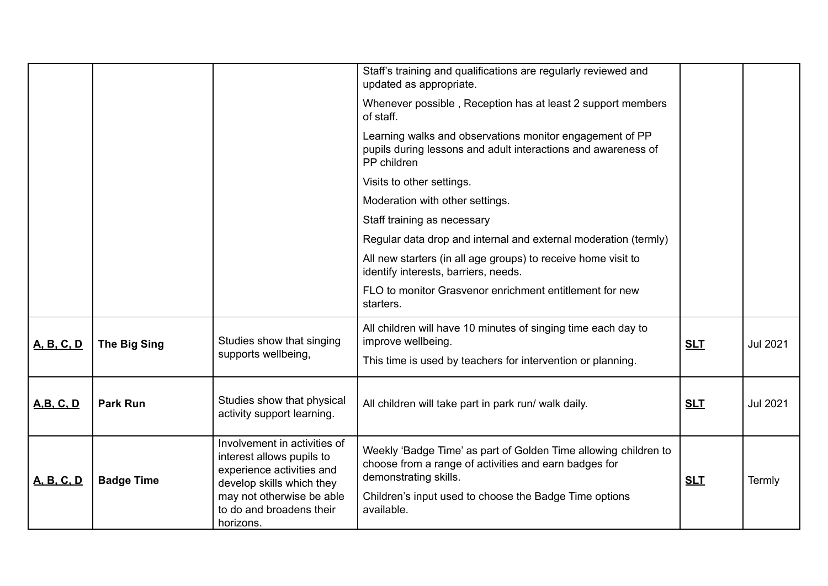|                   |                     |                                                                                                                                                                                           | Staff's training and qualifications are regularly reviewed and<br>updated as appropriate.<br>Whenever possible, Reception has at least 2 support members                                                                  |            |                 |
|-------------------|---------------------|-------------------------------------------------------------------------------------------------------------------------------------------------------------------------------------------|---------------------------------------------------------------------------------------------------------------------------------------------------------------------------------------------------------------------------|------------|-----------------|
|                   |                     |                                                                                                                                                                                           | of staff.                                                                                                                                                                                                                 |            |                 |
|                   |                     |                                                                                                                                                                                           | Learning walks and observations monitor engagement of PP<br>pupils during lessons and adult interactions and awareness of<br>PP children                                                                                  |            |                 |
|                   |                     |                                                                                                                                                                                           | Visits to other settings.                                                                                                                                                                                                 |            |                 |
|                   |                     |                                                                                                                                                                                           | Moderation with other settings.                                                                                                                                                                                           |            |                 |
|                   |                     |                                                                                                                                                                                           | Staff training as necessary                                                                                                                                                                                               |            |                 |
|                   |                     |                                                                                                                                                                                           | Regular data drop and internal and external moderation (termly)                                                                                                                                                           |            |                 |
|                   |                     |                                                                                                                                                                                           | All new starters (in all age groups) to receive home visit to<br>identify interests, barriers, needs.                                                                                                                     |            |                 |
|                   |                     |                                                                                                                                                                                           | FLO to monitor Grasvenor enrichment entitlement for new<br>starters.                                                                                                                                                      |            |                 |
| <b>A, B, C, D</b> | <b>The Big Sing</b> | Studies show that singing                                                                                                                                                                 | All children will have 10 minutes of singing time each day to<br>improve wellbeing.                                                                                                                                       | <b>SLT</b> | <b>Jul 2021</b> |
|                   |                     | supports wellbeing,                                                                                                                                                                       | This time is used by teachers for intervention or planning.                                                                                                                                                               |            |                 |
| <b>A.B. C. D</b>  | <b>Park Run</b>     | Studies show that physical<br>activity support learning.                                                                                                                                  | All children will take part in park run/ walk daily.                                                                                                                                                                      | <b>SLT</b> | <b>Jul 2021</b> |
| <b>A. B. C. D</b> | <b>Badge Time</b>   | Involvement in activities of<br>interest allows pupils to<br>experience activities and<br>develop skills which they<br>may not otherwise be able<br>to do and broadens their<br>horizons. | Weekly 'Badge Time' as part of Golden Time allowing children to<br>choose from a range of activities and earn badges for<br>demonstrating skills.<br>Children's input used to choose the Badge Time options<br>available. | <b>SLT</b> | Termly          |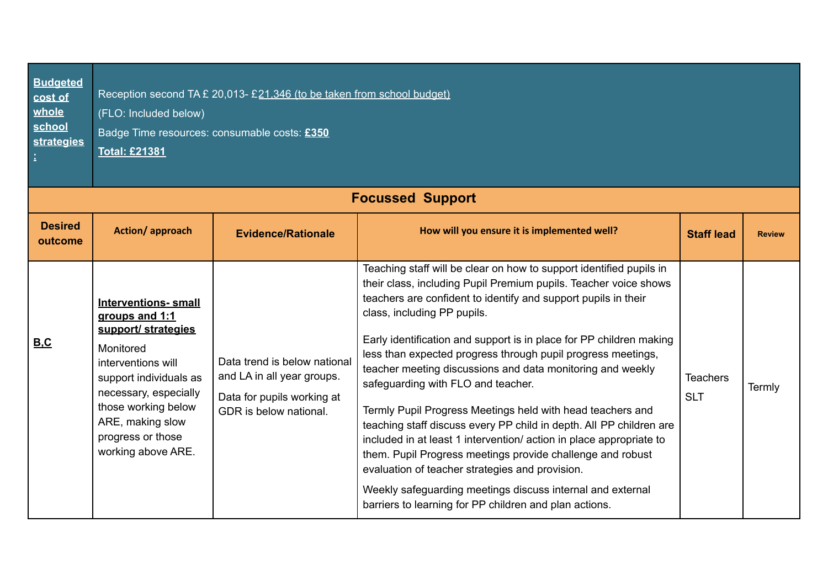| <b>Budgeted</b><br>cost of<br>whole<br>school<br><b>strategies</b><br>ž. | Reception second TA £ 20,013- £21,346 (to be taken from school budget)<br>(FLO: Included below)<br>Badge Time resources: consumable costs: £350<br><b>Total: £21381</b>                                                                         |                                                                                                                    |                                                                                                                                                                                                                                                                                                                                                                                                                                                                                                                                                                                                                                                                                                                                                                                                                                                                                                                                         |                               |               |  |  |
|--------------------------------------------------------------------------|-------------------------------------------------------------------------------------------------------------------------------------------------------------------------------------------------------------------------------------------------|--------------------------------------------------------------------------------------------------------------------|-----------------------------------------------------------------------------------------------------------------------------------------------------------------------------------------------------------------------------------------------------------------------------------------------------------------------------------------------------------------------------------------------------------------------------------------------------------------------------------------------------------------------------------------------------------------------------------------------------------------------------------------------------------------------------------------------------------------------------------------------------------------------------------------------------------------------------------------------------------------------------------------------------------------------------------------|-------------------------------|---------------|--|--|
|                                                                          |                                                                                                                                                                                                                                                 |                                                                                                                    | <b>Focussed Support</b>                                                                                                                                                                                                                                                                                                                                                                                                                                                                                                                                                                                                                                                                                                                                                                                                                                                                                                                 |                               |               |  |  |
| <b>Desired</b><br>outcome                                                | Action/approach                                                                                                                                                                                                                                 | <b>Evidence/Rationale</b>                                                                                          | How will you ensure it is implemented well?                                                                                                                                                                                                                                                                                                                                                                                                                                                                                                                                                                                                                                                                                                                                                                                                                                                                                             | <b>Staff lead</b>             | <b>Review</b> |  |  |
| B.C                                                                      | <b>Interventions-small</b><br>groups and 1:1<br>support/ strategies<br>Monitored<br>interventions will<br>support individuals as<br>necessary, especially<br>those working below<br>ARE, making slow<br>progress or those<br>working above ARE. | Data trend is below national<br>and LA in all year groups.<br>Data for pupils working at<br>GDR is below national. | Teaching staff will be clear on how to support identified pupils in<br>their class, including Pupil Premium pupils. Teacher voice shows<br>teachers are confident to identify and support pupils in their<br>class, including PP pupils.<br>Early identification and support is in place for PP children making<br>less than expected progress through pupil progress meetings,<br>teacher meeting discussions and data monitoring and weekly<br>safeguarding with FLO and teacher.<br>Termly Pupil Progress Meetings held with head teachers and<br>teaching staff discuss every PP child in depth. All PP children are<br>included in at least 1 intervention/action in place appropriate to<br>them. Pupil Progress meetings provide challenge and robust<br>evaluation of teacher strategies and provision.<br>Weekly safeguarding meetings discuss internal and external<br>barriers to learning for PP children and plan actions. | <b>Teachers</b><br><b>SLT</b> | Termly        |  |  |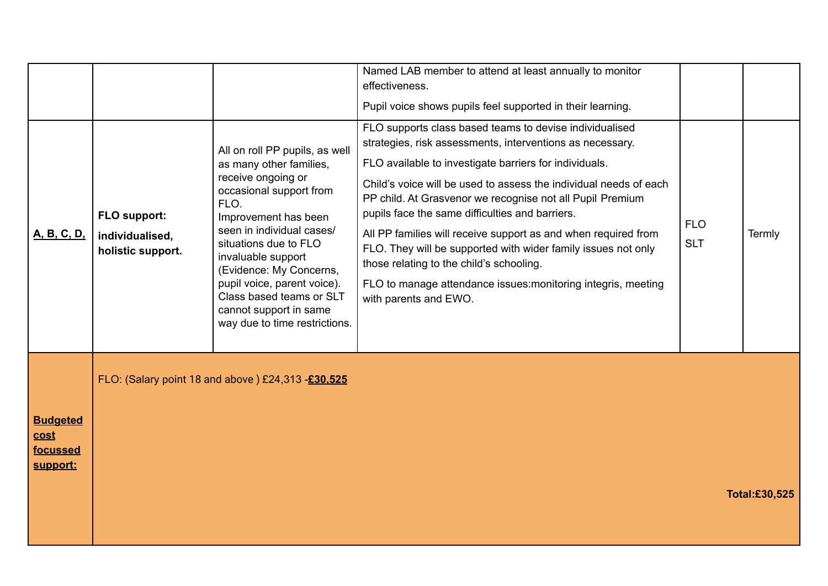| A, B, C, D,                                     | FLO support:<br>individualised,<br>holistic support. | All on roll PP pupils, as well<br>as many other families,<br>receive ongoing or<br>occasional support from<br>FLO.<br>Improvement has been<br>seen in individual cases/<br>situations due to FLO<br>invaluable support<br>(Evidence: My Concerns,<br>pupil voice, parent voice).<br>Class based teams or SLT<br>cannot support in same<br>way due to time restrictions. | Named LAB member to attend at least annually to monitor<br>effectiveness.<br>Pupil voice shows pupils feel supported in their learning.<br>FLO supports class based teams to devise individualised<br>strategies, risk assessments, interventions as necessary.<br>FLO available to investigate barriers for individuals.<br>Child's voice will be used to assess the individual needs of each<br>PP child. At Grasvenor we recognise not all Pupil Premium<br>pupils face the same difficulties and barriers.<br>All PP families will receive support as and when required from<br>FLO. They will be supported with wider family issues not only<br>those relating to the child's schooling.<br>FLO to manage attendance issues: monitoring integris, meeting<br>with parents and EWO. | <b>FLO</b><br><b>SLT</b> | Termly        |
|-------------------------------------------------|------------------------------------------------------|-------------------------------------------------------------------------------------------------------------------------------------------------------------------------------------------------------------------------------------------------------------------------------------------------------------------------------------------------------------------------|-----------------------------------------------------------------------------------------------------------------------------------------------------------------------------------------------------------------------------------------------------------------------------------------------------------------------------------------------------------------------------------------------------------------------------------------------------------------------------------------------------------------------------------------------------------------------------------------------------------------------------------------------------------------------------------------------------------------------------------------------------------------------------------------|--------------------------|---------------|
| <b>Budgeted</b><br>cost<br>focussed<br>support: |                                                      | FLO: (Salary point 18 and above) £24,313 -£30,525                                                                                                                                                                                                                                                                                                                       |                                                                                                                                                                                                                                                                                                                                                                                                                                                                                                                                                                                                                                                                                                                                                                                         |                          | Total:£30,525 |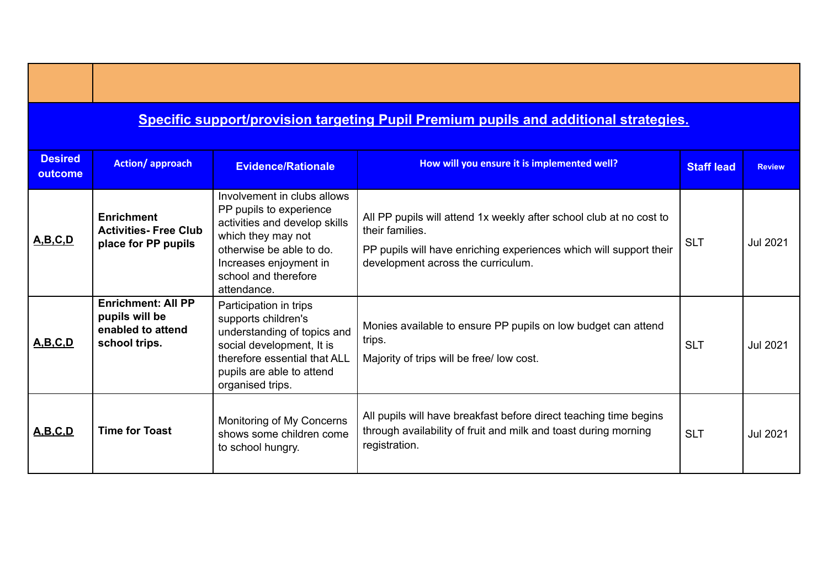# **Specific support/provision targeting Pupil Premium pupils and additional strategies.**

| <b>Desired</b><br>outcome | <b>Action/approach</b>                                                            | <b>Evidence/Rationale</b>                                                                                                                                                                                  | How will you ensure it is implemented well?                                                                                                                                                        | <b>Staff lead</b> | <b>Review</b>   |
|---------------------------|-----------------------------------------------------------------------------------|------------------------------------------------------------------------------------------------------------------------------------------------------------------------------------------------------------|----------------------------------------------------------------------------------------------------------------------------------------------------------------------------------------------------|-------------------|-----------------|
| <u>A,B,C,D</u>            | <b>Enrichment</b><br><b>Activities- Free Club</b><br>place for PP pupils          | Involvement in clubs allows<br>PP pupils to experience<br>activities and develop skills<br>which they may not<br>otherwise be able to do.<br>Increases enjoyment in<br>school and therefore<br>attendance. | All PP pupils will attend 1x weekly after school club at no cost to<br>their families.<br>PP pupils will have enriching experiences which will support their<br>development across the curriculum. | <b>SLT</b>        | <b>Jul 2021</b> |
| <u>A,B,C,D</u>            | <b>Enrichment: All PP</b><br>pupils will be<br>enabled to attend<br>school trips. | Participation in trips<br>supports children's<br>understanding of topics and<br>social development, It is<br>therefore essential that ALL<br>pupils are able to attend<br>organised trips.                 | Monies available to ensure PP pupils on low budget can attend<br>trips.<br>Majority of trips will be free/ low cost.                                                                               | <b>SLT</b>        | <b>Jul 2021</b> |
| <b>A.B.C.D</b>            | <b>Time for Toast</b>                                                             | Monitoring of My Concerns<br>shows some children come<br>to school hungry.                                                                                                                                 | All pupils will have breakfast before direct teaching time begins<br>through availability of fruit and milk and toast during morning<br>registration.                                              | <b>SLT</b>        | <b>Jul 2021</b> |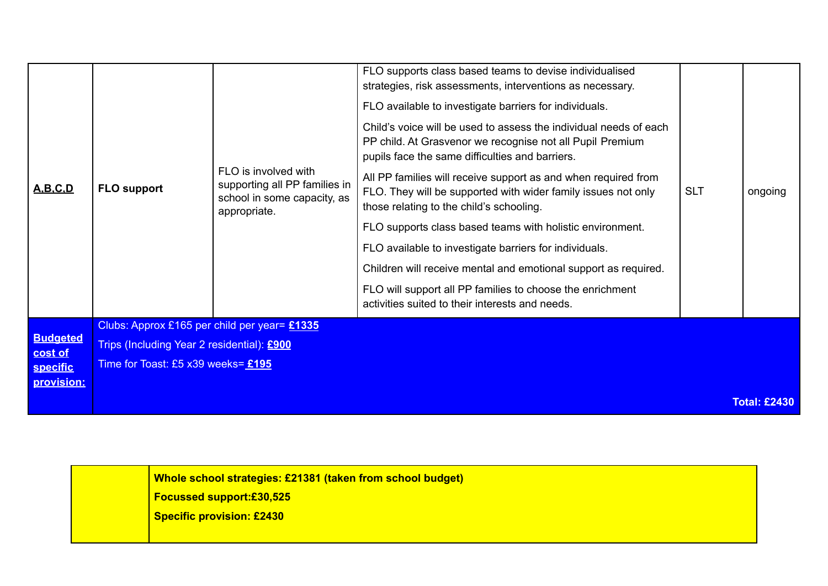| <b>Budgeted</b><br>cost of<br><b>specific</b><br>provision: | Clubs: Approx £165 per child per year= £1335<br>Trips (Including Year 2 residential): £900<br>Time for Toast: £5 x39 weeks= £195 |                                                                                                      |                                                                                                                                                                                                                                             |            | <b>Total: £2430</b> |
|-------------------------------------------------------------|----------------------------------------------------------------------------------------------------------------------------------|------------------------------------------------------------------------------------------------------|---------------------------------------------------------------------------------------------------------------------------------------------------------------------------------------------------------------------------------------------|------------|---------------------|
| <u>A,B,C,D</u><br><b>FLO support</b>                        |                                                                                                                                  |                                                                                                      | Children will receive mental and emotional support as required.<br>FLO will support all PP families to choose the enrichment<br>activities suited to their interests and needs.                                                             |            |                     |
|                                                             |                                                                                                                                  | FLO is involved with<br>supporting all PP families in<br>school in some capacity, as<br>appropriate. | FLO supports class based teams with holistic environment.<br>FLO available to investigate barriers for individuals.                                                                                                                         | <b>SLT</b> |                     |
|                                                             |                                                                                                                                  |                                                                                                      | All PP families will receive support as and when required from<br>FLO. They will be supported with wider family issues not only<br>those relating to the child's schooling.                                                                 |            | ongoing             |
|                                                             |                                                                                                                                  |                                                                                                      | FLO available to investigate barriers for individuals.<br>Child's voice will be used to assess the individual needs of each<br>PP child. At Grasvenor we recognise not all Pupil Premium<br>pupils face the same difficulties and barriers. |            |                     |
|                                                             |                                                                                                                                  |                                                                                                      | FLO supports class based teams to devise individualised<br>strategies, risk assessments, interventions as necessary.                                                                                                                        |            |                     |

| <u>  Whole school strategies: £21381 (taken from school budget) </u> |
|----------------------------------------------------------------------|
| <b>Focussed support:£30,525</b>                                      |
| <b>Specific provision: £2430</b>                                     |
|                                                                      |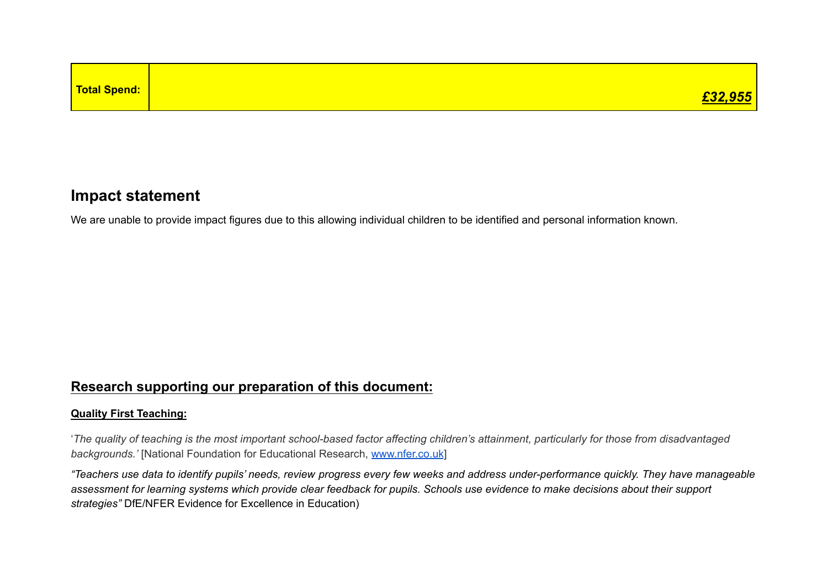| <b>Total Spend:</b> | £32,955 |
|---------------------|---------|

## **Impact statement**

We are unable to provide impact figures due to this allowing individual children to be identified and personal information known.

## **Research supporting our preparation of this document:**

#### **Quality First Teaching:**

'The quality of teaching is the most important school-based factor affecting children's attainment, particularly for those from disadvantaged *backgrounds.'* [National Foundation for Educational Research, [www.nfer.co.uk](http://www.nfer.co.uk)]

"Teachers use data to identify pupils' needs, review progress every few weeks and address under-performance quickly. They have manageable assessment for learning systems which provide clear feedback for pupils. Schools use evidence to make decisions about their support *strategies"* DfE/NFER Evidence for Excellence in Education)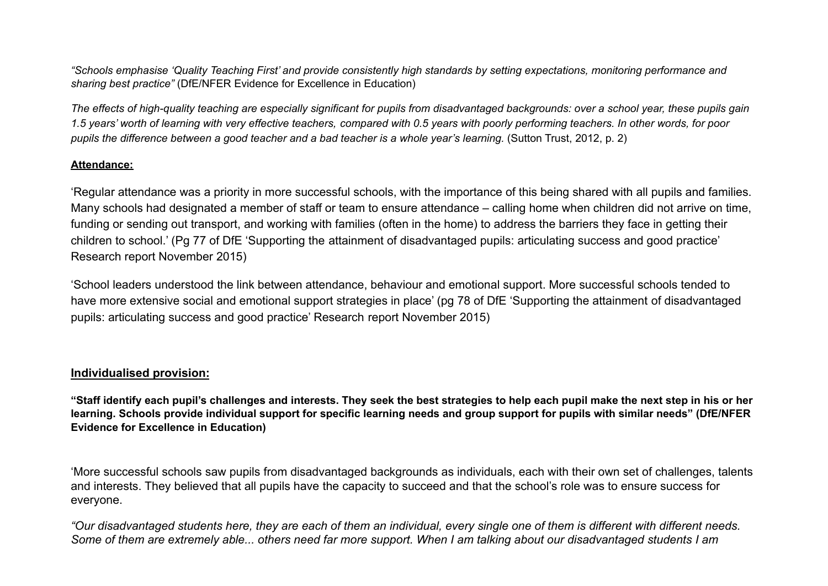"Schools emphasise 'Quality Teaching First' and provide consistently high standards by setting expectations, monitoring performance and *sharing best practice"* (DfE/NFER Evidence for Excellence in Education)

The effects of high-quality teaching are especially significant for pupils from disadvantaged backgrounds: over a school year, these pupils gain 1.5 years' worth of learning with very effective teachers, compared with 0.5 years with poorly performing teachers. In other words, for poor pupils the difference between a good teacher and a bad teacher is a whole year's learning. (Sutton Trust, 2012, p. 2)

### **Attendance:**

'Regular attendance was a priority in more successful schools, with the importance of this being shared with all pupils and families. Many schools had designated a member of staff or team to ensure attendance – calling home when children did not arrive on time, funding or sending out transport, and working with families (often in the home) to address the barriers they face in getting their children to school.' (Pg 77 of DfE 'Supporting the attainment of disadvantaged pupils: articulating success and good practice' Research report November 2015)

'School leaders understood the link between attendance, behaviour and emotional support. More successful schools tended to have more extensive social and emotional support strategies in place' (pg 78 of DfE 'Supporting the attainment of disadvantaged pupils: articulating success and good practice' Research report November 2015)

### **Individualised provision:**

"Staff identify each pupil's challenges and interests. They seek the best strategies to help each pupil make the next step in his or her learning. Schools provide individual support for specific learning needs and group support for pupils with similar needs" (DfE/NFER **Evidence for Excellence in Education)**

'More successful schools saw pupils from disadvantaged backgrounds as individuals, each with their own set of challenges, talents and interests. They believed that all pupils have the capacity to succeed and that the school's role was to ensure success for everyone.

*"Our disadvantaged students here, they are each of them an individual, every single one of them is different with different needs. Some of them are extremely able... others need far more support. When I am talking about our disadvantaged students I am*